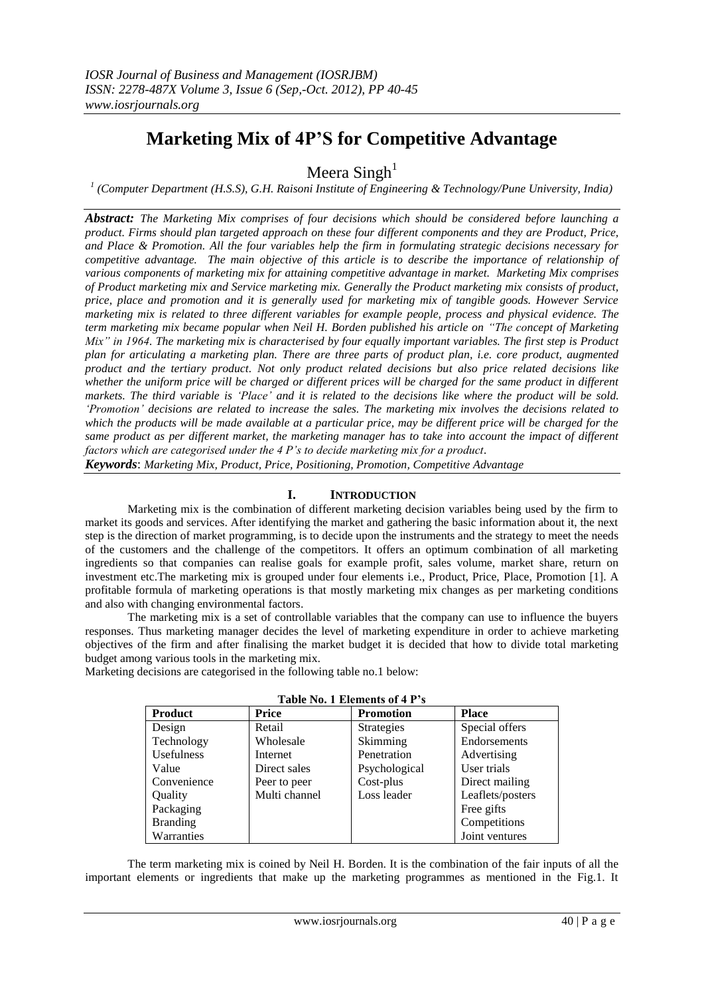# **Marketing Mix of 4P'S for Competitive Advantage**

Meera Singh<sup>1</sup>

*1 (Computer Department (H.S.S), G.H. Raisoni Institute of Engineering & Technology/Pune University, India)*

*Abstract: The Marketing Mix comprises of four decisions which should be considered before launching a product. Firms should plan targeted approach on these four different components and they are Product, Price, and Place & Promotion. All the four variables help the firm in formulating strategic decisions necessary for competitive advantage. The main objective of this article is to describe the importance of relationship of various components of marketing mix for attaining competitive advantage in market. Marketing Mix comprises of Product marketing mix and Service marketing mix. Generally the Product marketing mix consists of product, price, place and promotion and it is generally used for marketing mix of tangible goods. However Service marketing mix is related to three different variables for example people, process and physical evidence. The term marketing mix became popular when Neil H. Borden published his article on "The concept of Marketing Mix" in 1964. The marketing mix is characterised by four equally important variables. The first step is Product plan for articulating a marketing plan. There are three parts of product plan, i.e. core product, augmented product and the tertiary product. Not only product related decisions but also price related decisions like whether the uniform price will be charged or different prices will be charged for the same product in different markets. The third variable is "Place" and it is related to the decisions like where the product will be sold. "Promotion" decisions are related to increase the sales. The marketing mix involves the decisions related to which the products will be made available at a particular price, may be different price will be charged for the same product as per different market, the marketing manager has to take into account the impact of different factors which are categorised under the 4 P"s to decide marketing mix for a product.*

*Keywords*: *Marketing Mix, Product, Price, Positioning, Promotion, Competitive Advantage*

# **I. INTRODUCTION**

Marketing mix is the combination of different marketing decision variables being used by the firm to market its goods and services. After identifying the market and gathering the basic information about it, the next step is the direction of market programming, is to decide upon the instruments and the strategy to meet the needs of the customers and the challenge of the competitors. It offers an optimum combination of all marketing ingredients so that companies can realise goals for example profit, sales volume, market share, return on investment etc.The marketing mix is grouped under four elements i.e., Product, Price, Place, Promotion [1]. A profitable formula of marketing operations is that mostly marketing mix changes as per marketing conditions and also with changing environmental factors.

The marketing mix is a set of controllable variables that the company can use to influence the buyers responses. Thus marketing manager decides the level of marketing expenditure in order to achieve marketing objectives of the firm and after finalising the market budget it is decided that how to divide total marketing budget among various tools in the marketing mix.

**Table No. 1 Elements of 4 P's**

Marketing decisions are categorised in the following table no.1 below:

| Table No. 1 Elements of 4 F S |               |                  |                  |
|-------------------------------|---------------|------------------|------------------|
| <b>Product</b>                | <b>Price</b>  | <b>Promotion</b> | <b>Place</b>     |
| Design                        | Retail        | Strategies       | Special offers   |
| Technology                    | Wholesale     | Skimming         | Endorsements     |
| Usefulness                    | Internet      | Penetration      | Advertising      |
| Value                         | Direct sales  | Psychological    | User trials      |
| Convenience                   | Peer to peer  | Cost-plus        | Direct mailing   |
| Quality                       | Multi channel | Loss leader      | Leaflets/posters |
| Packaging                     |               |                  | Free gifts       |
| <b>Branding</b>               |               |                  | Competitions     |
| Warranties                    |               |                  | Joint ventures   |

The term marketing mix is coined by Neil H. Borden. It is the combination of the fair inputs of all the important elements or ingredients that make up the marketing programmes as mentioned in the Fig.1. It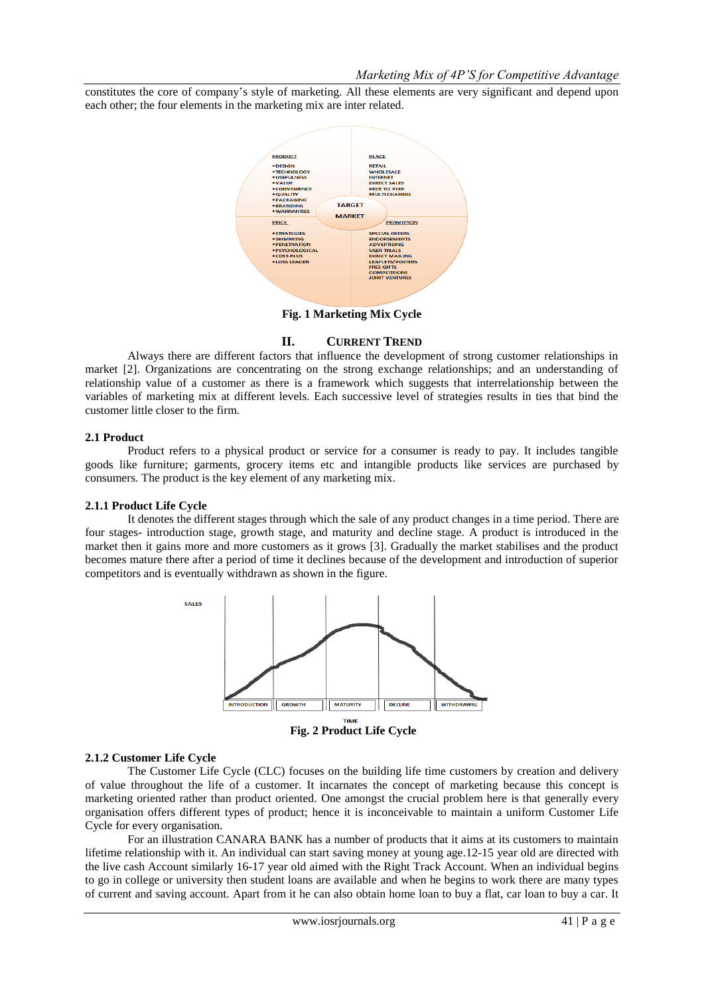constitutes the core of company's style of marketing. All these elements are very significant and depend upon each other; the four elements in the marketing mix are inter related.



**Fig. 1 Marketing Mix Cycle**

# **II. CURRENT TREND**

Always there are different factors that influence the development of strong customer relationships in market [2]. Organizations are concentrating on the strong exchange relationships; and an understanding of relationship value of a customer as there is a framework which suggests that interrelationship between the variables of marketing mix at different levels. Each successive level of strategies results in ties that bind the customer little closer to the firm.

#### **2.1 Product**

Product refers to a physical product or service for a consumer is ready to pay. It includes tangible goods like furniture; garments, grocery items etc and intangible products like services are purchased by consumers. The product is the key element of any marketing mix.

# **2.1.1 Product Life Cycle**

It denotes the different stages through which the sale of any product changes in a time period. There are four stages- introduction stage, growth stage, and maturity and decline stage. A product is introduced in the market then it gains more and more customers as it grows [3]. Gradually the market stabilises and the product becomes mature there after a period of time it declines because of the development and introduction of superior competitors and is eventually withdrawn as shown in the figure.



**Fig. 2 Product Life Cycle**

# **2.1.2 Customer Life Cycle**

The Customer Life Cycle (CLC) focuses on the building life time customers by creation and delivery of value throughout the life of a customer. It incarnates the concept of marketing because this concept is marketing oriented rather than product oriented. One amongst the crucial problem here is that generally every organisation offers different types of product; hence it is inconceivable to maintain a uniform Customer Life Cycle for every organisation.

For an illustration CANARA BANK has a number of products that it aims at its customers to maintain lifetime relationship with it. An individual can start saving money at young age.12-15 year old are directed with the live cash Account similarly 16-17 year old aimed with the Right Track Account. When an individual begins to go in college or university then student loans are available and when he begins to work there are many types of current and saving account. Apart from it he can also obtain home loan to buy a flat, car loan to buy a car. It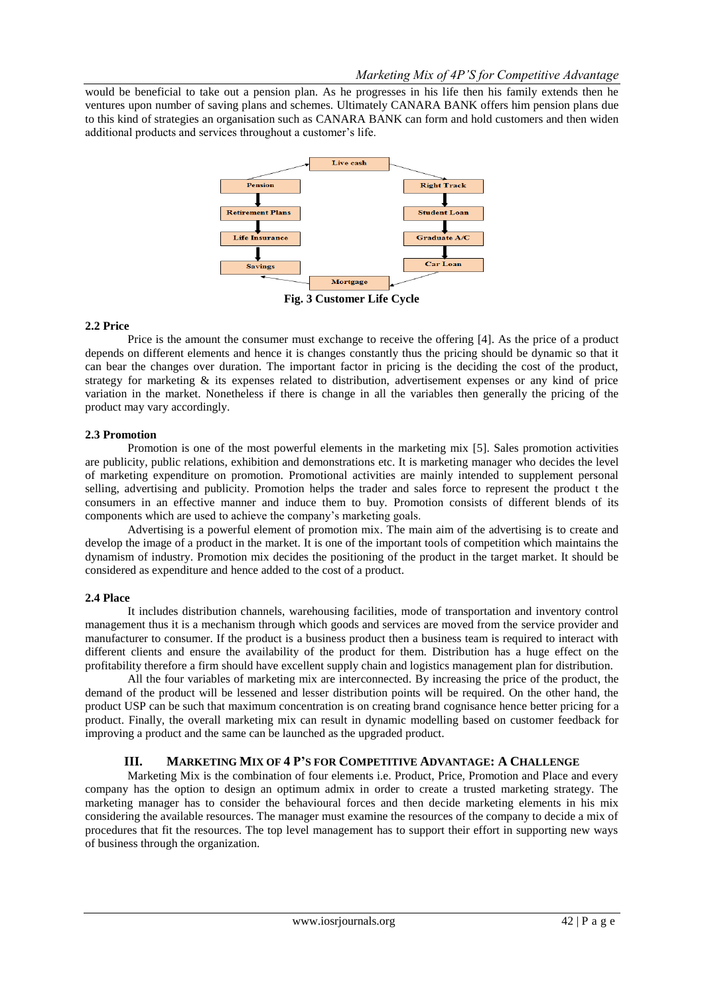would be beneficial to take out a pension plan. As he progresses in his life then his family extends then he ventures upon number of saving plans and schemes. Ultimately CANARA BANK offers him pension plans due to this kind of strategies an organisation such as CANARA BANK can form and hold customers and then widen additional products and services throughout a customer's life.



**Fig. 3 Customer Life Cycle**

#### **2.2 Price**

Price is the amount the consumer must exchange to receive the offering [4]. As the price of a product depends on different elements and hence it is changes constantly thus the pricing should be dynamic so that it can bear the changes over duration. The important factor in pricing is the deciding the cost of the product, strategy for marketing & its expenses related to distribution, advertisement expenses or any kind of price variation in the market. Nonetheless if there is change in all the variables then generally the pricing of the product may vary accordingly.

#### **2.3 Promotion**

Promotion is one of the most powerful elements in the marketing mix [5]. Sales promotion activities are publicity, public relations, exhibition and demonstrations etc. It is marketing manager who decides the level of marketing expenditure on promotion. Promotional activities are mainly intended to supplement personal selling, advertising and publicity. Promotion helps the trader and sales force to represent the product t the consumers in an effective manner and induce them to buy. Promotion consists of different blends of its components which are used to achieve the company's marketing goals.

Advertising is a powerful element of promotion mix. The main aim of the advertising is to create and develop the image of a product in the market. It is one of the important tools of competition which maintains the dynamism of industry. Promotion mix decides the positioning of the product in the target market. It should be considered as expenditure and hence added to the cost of a product.

# **2.4 Place**

It includes distribution channels, warehousing facilities, mode of transportation and inventory control management thus it is a mechanism through which goods and services are moved from the service provider and manufacturer to consumer. If the product is a business product then a business team is required to interact with different clients and ensure the availability of the product for them. Distribution has a huge effect on the profitability therefore a firm should have excellent supply chain and logistics management plan for distribution.

All the four variables of marketing mix are interconnected. By increasing the price of the product, the demand of the product will be lessened and lesser distribution points will be required. On the other hand, the product USP can be such that maximum concentration is on creating brand cognisance hence better pricing for a product. Finally, the overall marketing mix can result in dynamic modelling based on customer feedback for improving a product and the same can be launched as the upgraded product.

# **III. MARKETING MIX OF 4 P'S FOR COMPETITIVE ADVANTAGE: A CHALLENGE**

Marketing Mix is the combination of four elements i.e. Product, Price, Promotion and Place and every company has the option to design an optimum admix in order to create a trusted marketing strategy. The marketing manager has to consider the behavioural forces and then decide marketing elements in his mix considering the available resources. The manager must examine the resources of the company to decide a mix of procedures that fit the resources. The top level management has to support their effort in supporting new ways of business through the organization.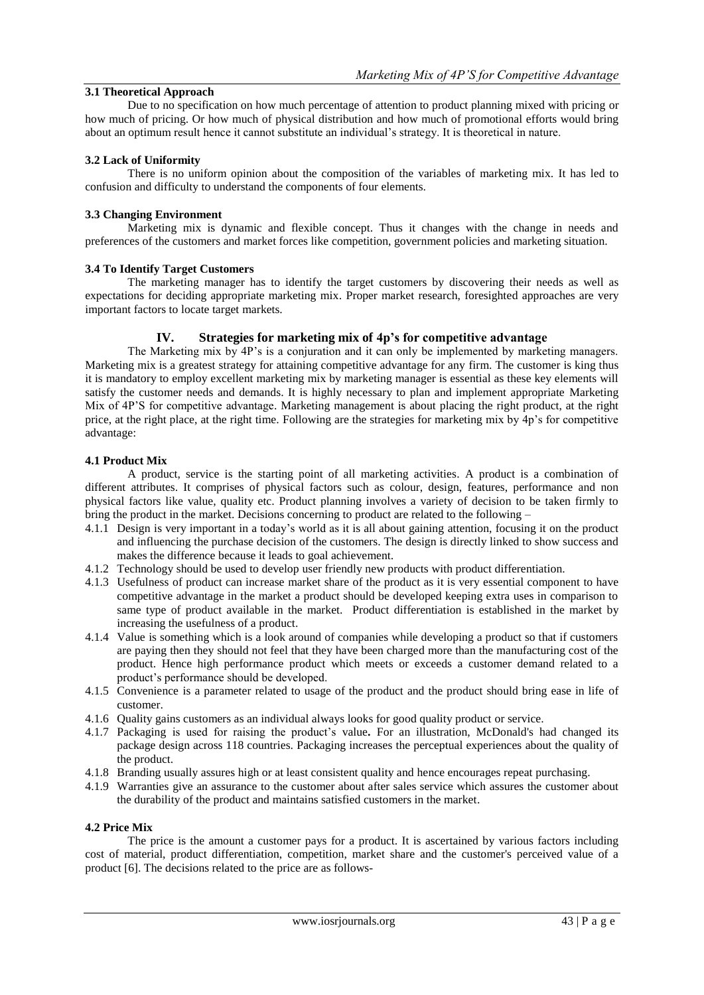# **3.1 Theoretical Approach**

Due to no specification on how much percentage of attention to product planning mixed with pricing or how much of pricing. Or how much of physical distribution and how much of promotional efforts would bring about an optimum result hence it cannot substitute an individual's strategy. It is theoretical in nature.

# **3.2 Lack of Uniformity**

There is no uniform opinion about the composition of the variables of marketing mix. It has led to confusion and difficulty to understand the components of four elements.

#### **3.3 Changing Environment**

Marketing mix is dynamic and flexible concept. Thus it changes with the change in needs and preferences of the customers and market forces like competition, government policies and marketing situation.

#### **3.4 To Identify Target Customers**

The marketing manager has to identify the target customers by discovering their needs as well as expectations for deciding appropriate marketing mix. Proper market research, foresighted approaches are very important factors to locate target markets.

# **IV. Strategies for marketing mix of 4p's for competitive advantage**

The Marketing mix by 4P's is a conjuration and it can only be implemented by marketing managers. Marketing mix is a greatest strategy for attaining competitive advantage for any firm. The customer is king thus it is mandatory to employ excellent marketing mix by marketing manager is essential as these key elements will satisfy the customer needs and demands. It is highly necessary to plan and implement appropriate Marketing Mix of 4P'S for competitive advantage. Marketing management is about placing the right product, at the right price, at the right place, at the right time. Following are the strategies for marketing mix by 4p's for competitive advantage:

#### **4.1 Product Mix**

A product, service is the starting point of all marketing activities. A product is a combination of different attributes. It comprises of physical factors such as colour, design, features, performance and non physical factors like value, quality etc. Product planning involves a variety of decision to be taken firmly to bring the product in the market. Decisions concerning to product are related to the following –

- 4.1.1 Design is very important in a today's world as it is all about gaining attention, focusing it on the product and influencing the purchase decision of the customers. The design is directly linked to show success and makes the difference because it leads to goal achievement.
- 4.1.2 Technology should be used to develop user friendly new products with product differentiation.
- 4.1.3 Usefulness of product can increase market share of the product as it is very essential component to have competitive advantage in the market a product should be developed keeping extra uses in comparison to same type of product available in the market. Product differentiation is established in the market by increasing the usefulness of a product.
- 4.1.4 Value is something which is a look around of companies while developing a product so that if customers are paying then they should not feel that they have been charged more than the manufacturing cost of the product. Hence high performance product which meets or exceeds a customer demand related to a product's performance should be developed.
- 4.1.5 Convenience is a parameter related to usage of the product and the product should bring ease in life of customer.
- 4.1.6 Quality gains customers as an individual always looks for good quality product or service.
- 4.1.7 Packaging is used for raising the product's value**.** For an illustration, McDonald's had changed its package design across 118 countries. Packaging increases the perceptual experiences about the quality of the product.
- 4.1.8 Branding usually assures high or at least consistent quality and hence encourages repeat purchasing.
- 4.1.9 Warranties give an assurance to the customer about after sales service which assures the customer about the durability of the product and maintains satisfied customers in the market.

# **4.2 Price Mix**

The price is the amount a customer pays for a product. It is ascertained by various factors including cost of material, product differentiation, competition, market share and the customer's perceived value of a product [6]. The decisions related to the price are as follows-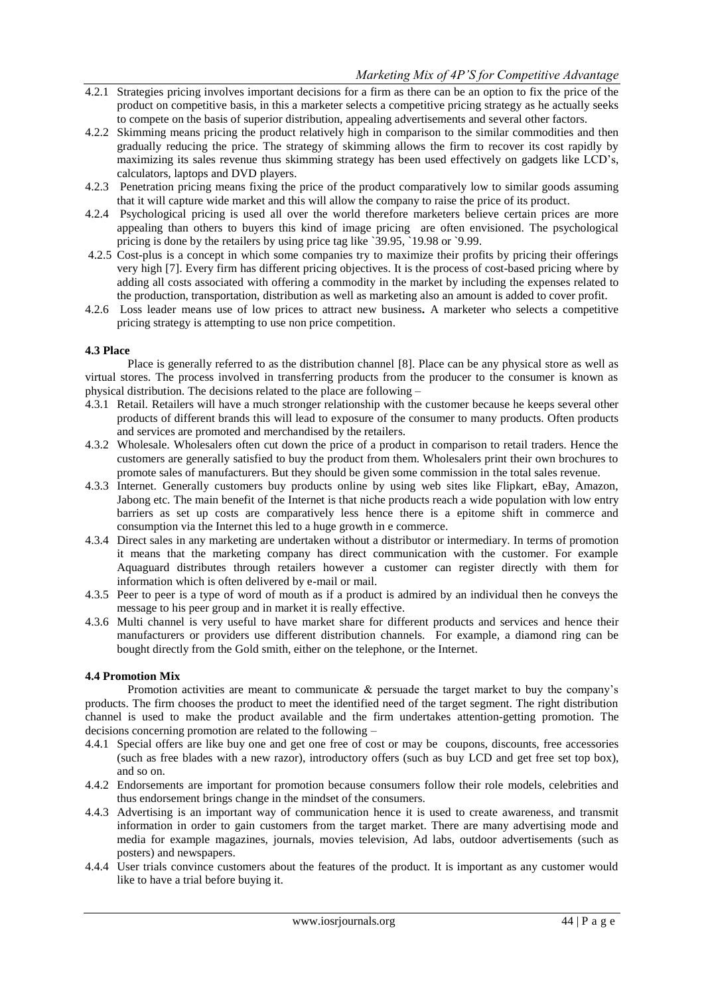- 4.2.1 Strategies pricing involves important decisions for a firm as there can be an option to fix the price of the product on competitive basis, in this a marketer selects a competitive pricing strategy as he actually seeks to compete on the basis of superior distribution, appealing advertisements and several other factors.
- 4.2.2 Skimming means pricing the product relatively high in comparison to the similar commodities and then gradually reducing the price. The strategy of skimming allows the firm to recover its cost rapidly by maximizing its sales revenue thus skimming strategy has been used effectively on gadgets like LCD's, calculators, laptops and DVD players.
- 4.2.3 Penetration pricing means fixing the price of the product comparatively low to similar goods assuming that it will capture wide market and this will allow the company to raise the price of its product.
- 4.2.4 Psychological pricing is used all over the world therefore marketers believe certain prices are more appealing than others to buyers this kind of image pricing are often envisioned. The psychological pricing is done by the retailers by using price tag like `39.95, `19.98 or `9.99.
- 4.2.5 Cost-plus is a concept in which some companies try to maximize their profits by pricing their offerings very high [7]. Every firm has different pricing objectives. It is the process of cost-based pricing where by adding all costs associated with offering a commodity in the market by including the expenses related to the production, transportation, distribution as well as marketing also an amount is added to cover profit.
- 4.2.6 Loss leader means use of low prices to attract new business**.** A marketer who selects a competitive pricing strategy is attempting to use non price competition.

# **4.3 Place**

Place is generally referred to as the distribution channel [8]. Place can be any physical store as well as virtual stores. The process involved in transferring products from the producer to the consumer is known as physical distribution. The decisions related to the place are following –

- 4.3.1 Retail. Retailers will have a much stronger relationship with the customer because he keeps several other products of different brands this will lead to exposure of the consumer to many products. Often products and services are promoted and merchandised by the retailers.
- 4.3.2 Wholesale. Wholesalers often cut down the price of a product in comparison to retail traders. Hence the customers are generally satisfied to buy the product from them. Wholesalers print their own brochures to promote sales of manufacturers. But they should be given some commission in the total sales revenue.
- 4.3.3 Internet. Generally customers buy products online by using web sites like Flipkart, eBay, Amazon, Jabong etc. The main benefit of the Internet is that niche products reach a wide population with low entry barriers as set up costs are comparatively less hence there is a epitome shift in commerce and consumption via the Internet this led to a huge growth in e commerce.
- 4.3.4 Direct sales in any marketing are undertaken without a distributor or intermediary. In terms of promotion it means that the marketing company has direct communication with the customer. For example Aquaguard distributes through retailers however a customer can register directly with them for information which is often delivered by e-mail or mail.
- 4.3.5 Peer to peer is a type of word of mouth as if a product is admired by an individual then he conveys the message to his peer group and in market it is really effective.
- 4.3.6 Multi channel is very useful to have market share for different products and services and hence their manufacturers or providers use different distribution channels. For example, a diamond ring can be bought directly from the Gold smith, either on the telephone, or the Internet.

#### **4.4 Promotion Mix**

Promotion activities are meant to communicate  $\&$  persuade the target market to buy the company's products. The firm chooses the product to meet the identified need of the target segment. The right distribution channel is used to make the product available and the firm undertakes attention-getting promotion. The decisions concerning promotion are related to the following –

- 4.4.1 Special offers are like buy one and get one free of cost or may be coupons, discounts, free accessories (such as free blades with a new razor), introductory offers (such as buy LCD and get free set top box), and so on.
- 4.4.2 Endorsements are important for promotion because consumers follow their role models, celebrities and thus endorsement brings change in the mindset of the consumers.
- 4.4.3 Advertising is an important way of communication hence it is used to create awareness, and transmit information in order to gain customers from the target market. There are many advertising mode and media for example magazines, journals, movies television, Ad labs, outdoor advertisements (such as posters) and newspapers.
- 4.4.4 User trials convince customers about the features of the product. It is important as any customer would like to have a trial before buying it.